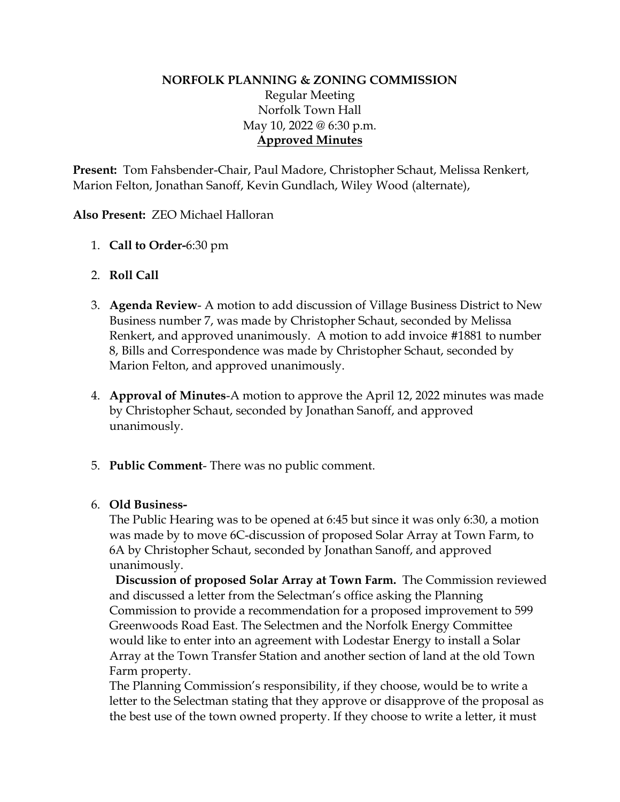### **NORFOLK PLANNING & ZONING COMMISSION** Regular Meeting Norfolk Town Hall May 10, 2022 @ 6:30 p.m. **Approved Minutes**

**Present:** Tom Fahsbender-Chair, Paul Madore, Christopher Schaut, Melissa Renkert, Marion Felton, Jonathan Sanoff, Kevin Gundlach, Wiley Wood (alternate),

#### **Also Present:** ZEO Michael Halloran

- 1. **Call to Order-**6:30 pm
- 2. **Roll Call**
- 3. **Agenda Review** A motion to add discussion of Village Business District to New Business number 7, was made by Christopher Schaut, seconded by Melissa Renkert, and approved unanimously. A motion to add invoice #1881 to number 8, Bills and Correspondence was made by Christopher Schaut, seconded by Marion Felton, and approved unanimously.
- 4. **Approval of Minutes**-A motion to approve the April 12, 2022 minutes was made by Christopher Schaut, seconded by Jonathan Sanoff, and approved unanimously.
- 5. **Public Comment** There was no public comment.

#### 6. **Old Business-**

The Public Hearing was to be opened at 6:45 but since it was only 6:30, a motion was made by to move 6C-discussion of proposed Solar Array at Town Farm, to 6A by Christopher Schaut, seconded by Jonathan Sanoff, and approved unanimously.

**Discussion of proposed Solar Array at Town Farm.** The Commission reviewed and discussed a letter from the Selectman's office asking the Planning Commission to provide a recommendation for a proposed improvement to 599 Greenwoods Road East. The Selectmen and the Norfolk Energy Committee would like to enter into an agreement with Lodestar Energy to install a Solar Array at the Town Transfer Station and another section of land at the old Town Farm property.

The Planning Commission's responsibility, if they choose, would be to write a letter to the Selectman stating that they approve or disapprove of the proposal as the best use of the town owned property. If they choose to write a letter, it must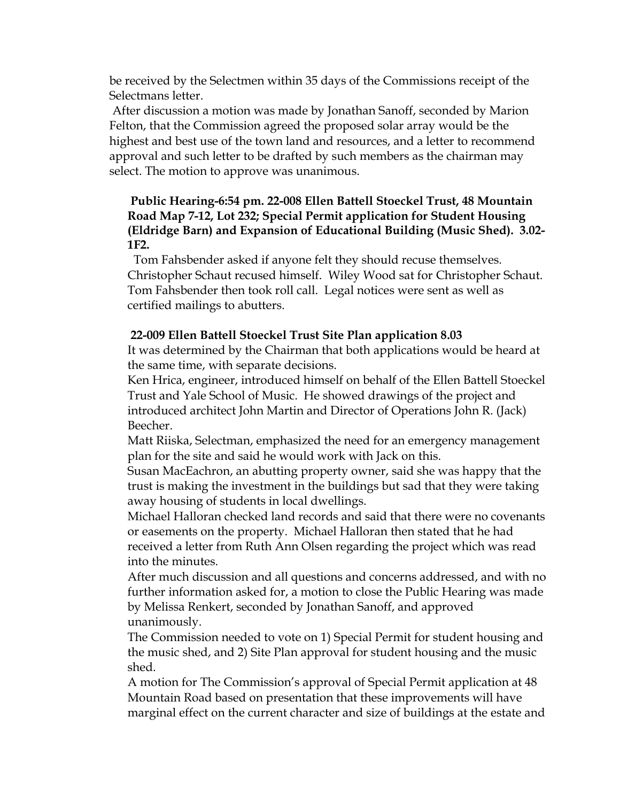be received by the Selectmen within 35 days of the Commissions receipt of the Selectmans letter.

After discussion a motion was made by Jonathan Sanoff, seconded by Marion Felton, that the Commission agreed the proposed solar array would be the highest and best use of the town land and resources, and a letter to recommend approval and such letter to be drafted by such members as the chairman may select. The motion to approve was unanimous.

# **Public Hearing-6:54 pm. 22-008 Ellen Battell Stoeckel Trust, 48 Mountain Road Map 7-12, Lot 232; Special Permit application for Student Housing (Eldridge Barn) and Expansion of Educational Building (Music Shed). 3.02- 1F2.**

Tom Fahsbender asked if anyone felt they should recuse themselves. Christopher Schaut recused himself. Wiley Wood sat for Christopher Schaut. Tom Fahsbender then took roll call. Legal notices were sent as well as certified mailings to abutters.

# **22-009 Ellen Battell Stoeckel Trust Site Plan application 8.03**

It was determined by the Chairman that both applications would be heard at the same time, with separate decisions.

Ken Hrica, engineer, introduced himself on behalf of the Ellen Battell Stoeckel Trust and Yale School of Music. He showed drawings of the project and introduced architect John Martin and Director of Operations John R. (Jack) Beecher.

Matt Riiska, Selectman, emphasized the need for an emergency management plan for the site and said he would work with Jack on this.

Susan MacEachron, an abutting property owner, said she was happy that the trust is making the investment in the buildings but sad that they were taking away housing of students in local dwellings.

Michael Halloran checked land records and said that there were no covenants or easements on the property. Michael Halloran then stated that he had received a letter from Ruth Ann Olsen regarding the project which was read into the minutes.

After much discussion and all questions and concerns addressed, and with no further information asked for, a motion to close the Public Hearing was made by Melissa Renkert, seconded by Jonathan Sanoff, and approved unanimously.

The Commission needed to vote on 1) Special Permit for student housing and the music shed, and 2) Site Plan approval for student housing and the music shed.

A motion for The Commission's approval of Special Permit application at 48 Mountain Road based on presentation that these improvements will have marginal effect on the current character and size of buildings at the estate and